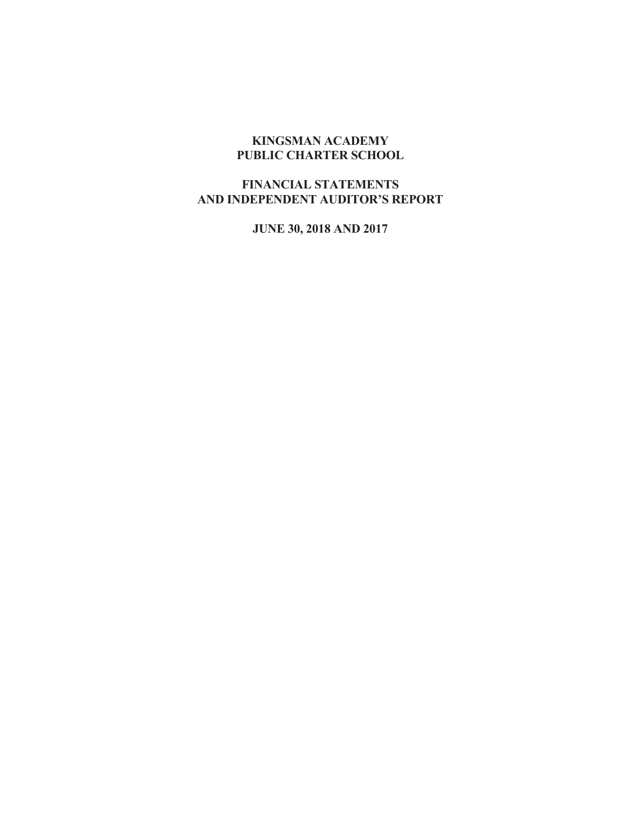# **KINGSMAN ACADEMY PUBLIC CHARTER SCHOOL**

# **FINANCIAL STATEMENTS AND INDEPENDENT AUDITOR'S REPORT**

**JUNE 30, 2018 AND 2017**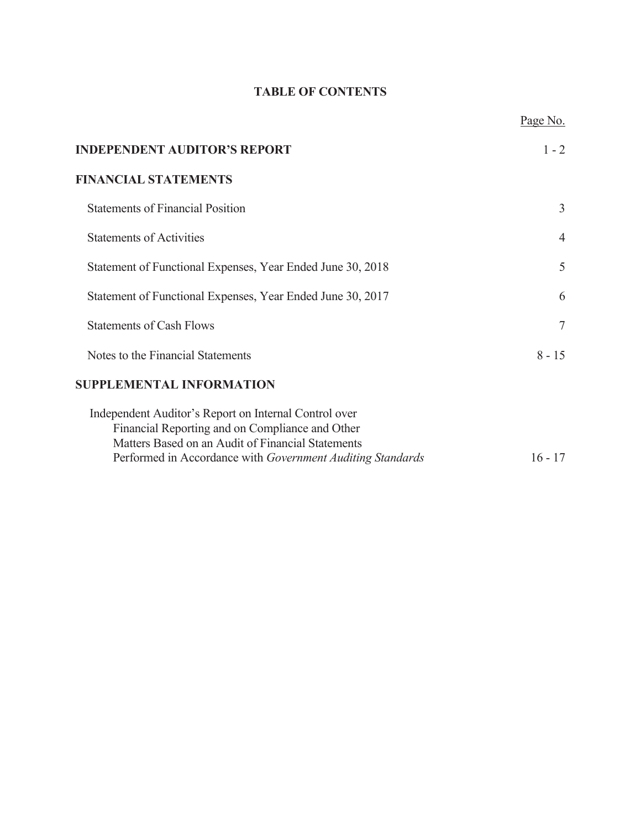# **TABLE OF CONTENTS**

|                                                                                                                                                                                                                             | Page No.       |
|-----------------------------------------------------------------------------------------------------------------------------------------------------------------------------------------------------------------------------|----------------|
| <b>INDEPENDENT AUDITOR'S REPORT</b>                                                                                                                                                                                         | $1 - 2$        |
| <b>FINANCIAL STATEMENTS</b>                                                                                                                                                                                                 |                |
| <b>Statements of Financial Position</b>                                                                                                                                                                                     | 3              |
| <b>Statements of Activities</b>                                                                                                                                                                                             | $\overline{4}$ |
| Statement of Functional Expenses, Year Ended June 30, 2018                                                                                                                                                                  | 5              |
| Statement of Functional Expenses, Year Ended June 30, 2017                                                                                                                                                                  | 6              |
| <b>Statements of Cash Flows</b>                                                                                                                                                                                             | $\overline{7}$ |
| Notes to the Financial Statements                                                                                                                                                                                           | $8 - 15$       |
| <b>SUPPLEMENTAL INFORMATION</b>                                                                                                                                                                                             |                |
| Independent Auditor's Report on Internal Control over<br>Financial Reporting and on Compliance and Other<br>Matters Based on an Audit of Financial Statements<br>Performed in Accordance with Government Auditing Standards | $16 - 17$      |
|                                                                                                                                                                                                                             |                |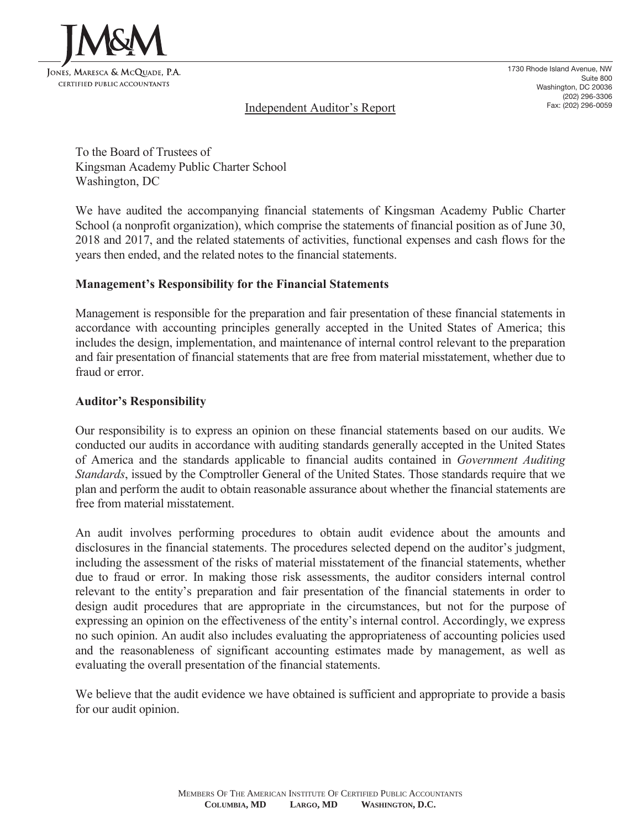

1730 Rhode Island Avenue, NW Suite 800 Washington, DC 20036 (202) 296-3306 Fax: (202) 296-0059

# Independent Auditor's Report

To the Board of Trustees of Kingsman Academy Public Charter School Washington, DC

We have audited the accompanying financial statements of Kingsman Academy Public Charter School (a nonprofit organization), which comprise the statements of financial position as of June 30, 2018 and 2017, and the related statements of activities, functional expenses and cash flows for the years then ended, and the related notes to the financial statements.

# **Management's Responsibility for the Financial Statements**

Management is responsible for the preparation and fair presentation of these financial statements in accordance with accounting principles generally accepted in the United States of America; this includes the design, implementation, and maintenance of internal control relevant to the preparation and fair presentation of financial statements that are free from material misstatement, whether due to fraud or error.

# **Auditor's Responsibility**

Our responsibility is to express an opinion on these financial statements based on our audits. We conducted our audits in accordance with auditing standards generally accepted in the United States of America and the standards applicable to financial audits contained in *Government Auditing Standards*, issued by the Comptroller General of the United States. Those standards require that we plan and perform the audit to obtain reasonable assurance about whether the financial statements are free from material misstatement.

An audit involves performing procedures to obtain audit evidence about the amounts and disclosures in the financial statements. The procedures selected depend on the auditor's judgment, including the assessment of the risks of material misstatement of the financial statements, whether due to fraud or error. In making those risk assessments, the auditor considers internal control relevant to the entity's preparation and fair presentation of the financial statements in order to design audit procedures that are appropriate in the circumstances, but not for the purpose of expressing an opinion on the effectiveness of the entity's internal control. Accordingly, we express no such opinion. An audit also includes evaluating the appropriateness of accounting policies used and the reasonableness of significant accounting estimates made by management, as well as evaluating the overall presentation of the financial statements.

We believe that the audit evidence we have obtained is sufficient and appropriate to provide a basis for our audit opinion.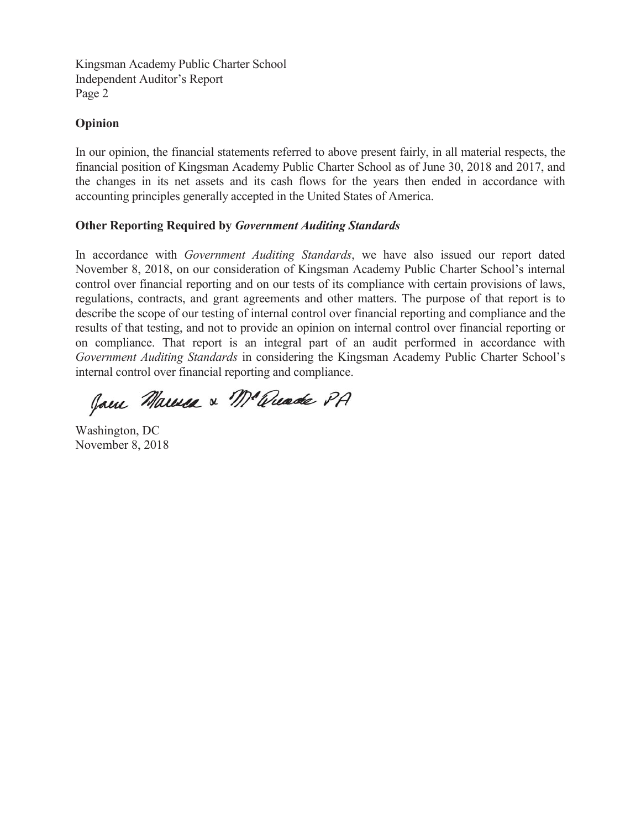Kingsman Academy Public Charter School Independent Auditor's Report Page 2

# **Opinion**

In our opinion, the financial statements referred to above present fairly, in all material respects, the financial position of Kingsman Academy Public Charter School as of June 30, 2018 and 2017, and the changes in its net assets and its cash flows for the years then ended in accordance with accounting principles generally accepted in the United States of America.

# **Other Reporting Required by** *Government Auditing Standards*

In accordance with *Government Auditing Standards*, we have also issued our report dated November 8, 2018, on our consideration of Kingsman Academy Public Charter School's internal control over financial reporting and on our tests of its compliance with certain provisions of laws, regulations, contracts, and grant agreements and other matters. The purpose of that report is to describe the scope of our testing of internal control over financial reporting and compliance and the results of that testing, and not to provide an opinion on internal control over financial reporting or on compliance. That report is an integral part of an audit performed in accordance with *Government Auditing Standards* in considering the Kingsman Academy Public Charter School's internal control over financial reporting and compliance.

Jam Marmea & Mc Quade PA

Washington, DC November 8, 2018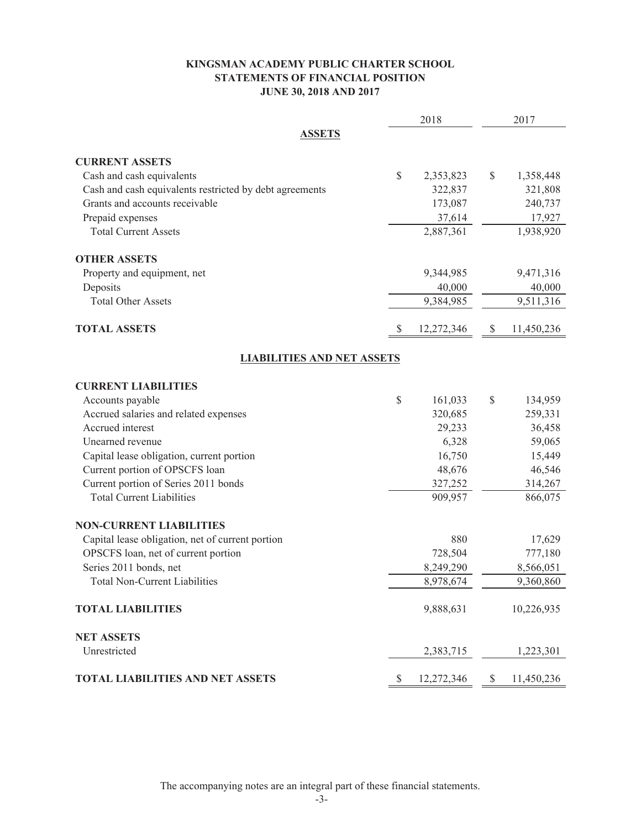# **KINGSMAN ACADEMY PUBLIC CHARTER SCHOOL STATEMENTS OF FINANCIAL POSITION JUNE 30, 2018 AND 2017**

|                                                         |              | 2018       | 2017             |
|---------------------------------------------------------|--------------|------------|------------------|
| <b>ASSETS</b>                                           |              |            |                  |
| <b>CURRENT ASSETS</b>                                   |              |            |                  |
| Cash and cash equivalents                               | $\mathbb{S}$ | 2,353,823  | \$<br>1,358,448  |
| Cash and cash equivalents restricted by debt agreements |              | 322,837    | 321,808          |
| Grants and accounts receivable                          |              | 173,087    | 240,737          |
| Prepaid expenses                                        |              | 37,614     | 17,927           |
| <b>Total Current Assets</b>                             |              | 2,887,361  | 1,938,920        |
| <b>OTHER ASSETS</b>                                     |              |            |                  |
| Property and equipment, net                             |              | 9,344,985  | 9,471,316        |
| Deposits                                                |              | 40,000     | 40,000           |
| <b>Total Other Assets</b>                               |              | 9,384,985  | 9,511,316        |
| <b>TOTAL ASSETS</b>                                     | \$           | 12,272,346 | \$<br>11,450,236 |
| <b>LIABILITIES AND NET ASSETS</b>                       |              |            |                  |
| <b>CURRENT LIABILITIES</b>                              |              |            |                  |
| Accounts payable                                        | \$           | 161,033    | \$<br>134,959    |
| Accrued salaries and related expenses                   |              | 320,685    | 259,331          |
| Accrued interest                                        |              | 29,233     | 36,458           |
| Unearned revenue                                        |              | 6,328      | 59,065           |
| Capital lease obligation, current portion               |              | 16,750     | 15,449           |
| Current portion of OPSCFS loan                          |              | 48,676     | 46,546           |
| Current portion of Series 2011 bonds                    |              | 327,252    | 314,267          |
| <b>Total Current Liabilities</b>                        |              | 909,957    | 866,075          |
| <b>NON-CURRENT LIABILITIES</b>                          |              |            |                  |
| Capital lease obligation, net of current portion        |              | 880        | 17,629           |
| OPSCFS loan, net of current portion                     |              | 728,504    | 777,180          |
| Series 2011 bonds, net                                  |              | 8,249,290  | 8,566,051        |
| <b>Total Non-Current Liabilities</b>                    |              | 8,978,674  | 9,360,860        |
| <b>TOTAL LIABILITIES</b>                                |              | 9,888,631  | 10,226,935       |
| <b>NET ASSETS</b>                                       |              |            |                  |
| Unrestricted                                            |              | 2,383,715  | 1,223,301        |
| <b>TOTAL LIABILITIES AND NET ASSETS</b>                 | $\mathbb{S}$ | 12,272,346 | \$<br>11,450,236 |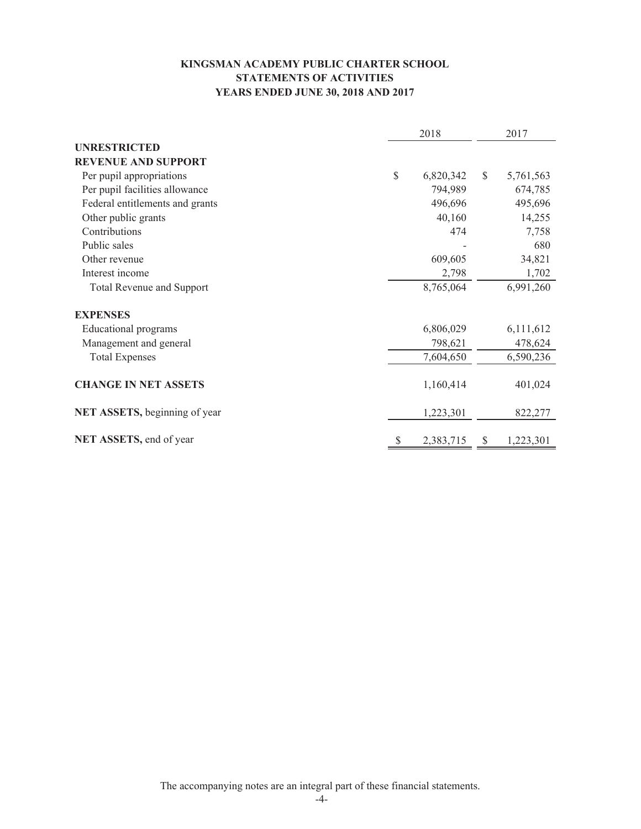# **KINGSMAN ACADEMY PUBLIC CHARTER SCHOOL STATEMENTS OF ACTIVITIES YEARS ENDED JUNE 30, 2018 AND 2017**

|                                  |    | 2018      |              | 2017      |
|----------------------------------|----|-----------|--------------|-----------|
| <b>UNRESTRICTED</b>              |    |           |              |           |
| <b>REVENUE AND SUPPORT</b>       |    |           |              |           |
| Per pupil appropriations         | \$ | 6,820,342 | $\mathbb{S}$ | 5,761,563 |
| Per pupil facilities allowance   |    | 794,989   |              | 674,785   |
| Federal entitlements and grants  |    | 496,696   |              | 495,696   |
| Other public grants              |    | 40,160    |              | 14,255    |
| Contributions                    |    | 474       |              | 7,758     |
| Public sales                     |    |           |              | 680       |
| Other revenue                    |    | 609,605   |              | 34,821    |
| Interest income                  |    | 2,798     |              | 1,702     |
| <b>Total Revenue and Support</b> |    | 8,765,064 |              | 6,991,260 |
| <b>EXPENSES</b>                  |    |           |              |           |
| Educational programs             |    | 6,806,029 |              | 6,111,612 |
| Management and general           |    | 798,621   |              | 478,624   |
| <b>Total Expenses</b>            |    | 7,604,650 |              | 6,590,236 |
| <b>CHANGE IN NET ASSETS</b>      |    | 1,160,414 |              | 401,024   |
| NET ASSETS, beginning of year    |    | 1,223,301 |              | 822,277   |
| NET ASSETS, end of year          | S  | 2,383,715 | S            | 1,223,301 |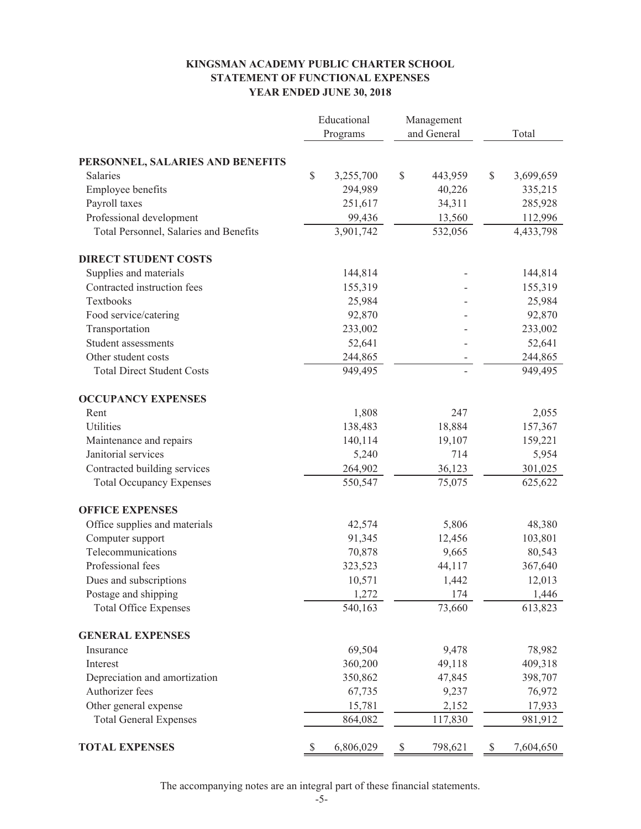## **KINGSMAN ACADEMY PUBLIC CHARTER SCHOOL STATEMENT OF FUNCTIONAL EXPENSES YEAR ENDED JUNE 30, 2018**

|                                        | Educational |           | Management                                                            |             |              |           |  |
|----------------------------------------|-------------|-----------|-----------------------------------------------------------------------|-------------|--------------|-----------|--|
|                                        | Programs    |           |                                                                       | and General |              | Total     |  |
|                                        |             |           |                                                                       |             |              |           |  |
| PERSONNEL, SALARIES AND BENEFITS       |             |           |                                                                       |             |              |           |  |
| Salaries                               | \$          | 3,255,700 | \$                                                                    | 443,959     | $\mathbb{S}$ | 3,699,659 |  |
| Employee benefits                      |             | 294,989   |                                                                       | 40,226      |              | 335,215   |  |
| Payroll taxes                          |             | 251,617   |                                                                       | 34,311      |              | 285,928   |  |
| Professional development               |             | 99,436    |                                                                       | 13,560      |              | 112,996   |  |
| Total Personnel, Salaries and Benefits |             | 3,901,742 |                                                                       | 532,056     |              | 4,433,798 |  |
| <b>DIRECT STUDENT COSTS</b>            |             |           |                                                                       |             |              |           |  |
| Supplies and materials                 |             | 144,814   |                                                                       |             |              | 144,814   |  |
| Contracted instruction fees            |             | 155,319   |                                                                       |             |              | 155,319   |  |
| Textbooks                              |             | 25,984    |                                                                       |             |              | 25,984    |  |
| Food service/catering                  |             | 92,870    |                                                                       |             |              | 92,870    |  |
| Transportation                         |             | 233,002   |                                                                       |             |              | 233,002   |  |
| Student assessments                    |             | 52,641    |                                                                       |             |              | 52,641    |  |
| Other student costs                    |             | 244,865   |                                                                       |             |              | 244,865   |  |
| <b>Total Direct Student Costs</b>      |             | 949,495   |                                                                       |             |              | 949,495   |  |
| <b>OCCUPANCY EXPENSES</b>              |             |           |                                                                       |             |              |           |  |
| Rent                                   |             | 1,808     |                                                                       | 247         |              | 2,055     |  |
| Utilities                              |             | 138,483   |                                                                       | 18,884      |              | 157,367   |  |
| Maintenance and repairs                |             | 140,114   |                                                                       | 19,107      |              | 159,221   |  |
| Janitorial services                    |             | 5,240     |                                                                       | 714         |              | 5,954     |  |
| Contracted building services           |             | 264,902   |                                                                       | 36,123      |              | 301,025   |  |
| <b>Total Occupancy Expenses</b>        |             | 550,547   |                                                                       | 75,075      |              | 625,622   |  |
| <b>OFFICE EXPENSES</b>                 |             |           |                                                                       |             |              |           |  |
| Office supplies and materials          |             | 42,574    |                                                                       | 5,806       |              | 48,380    |  |
| Computer support                       |             | 91,345    |                                                                       | 12,456      |              | 103,801   |  |
| Telecommunications                     |             | 70,878    |                                                                       | 9,665       |              | 80,543    |  |
| Professional fees                      |             | 323,523   |                                                                       | 44,117      |              | 367,640   |  |
| Dues and subscriptions                 |             | 10,571    |                                                                       | 1,442       |              | 12,013    |  |
| Postage and shipping                   |             | 1,272     |                                                                       | 174         |              | 1,446     |  |
| <b>Total Office Expenses</b>           |             | 540,163   |                                                                       | 73,660      |              | 613,823   |  |
| <b>GENERAL EXPENSES</b>                |             |           |                                                                       |             |              |           |  |
| Insurance                              |             | 69,504    |                                                                       | 9,478       |              | 78,982    |  |
| Interest                               |             | 360,200   |                                                                       | 49,118      |              | 409,318   |  |
| Depreciation and amortization          |             | 350,862   |                                                                       | 47,845      |              | 398,707   |  |
| Authorizer fees                        |             | 67,735    |                                                                       | 9,237       |              | 76,972    |  |
| Other general expense                  |             | 15,781    |                                                                       | 2,152       |              | 17,933    |  |
| <b>Total General Expenses</b>          |             | 864,082   |                                                                       | 117,830     |              | 981,912   |  |
| <b>TOTAL EXPENSES</b>                  | \$          | 6,806,029 | $\mathbb{S}% _{t}\left( t\right) \equiv\mathbb{S}_{t}\left( t\right)$ | 798,621     | \$           | 7,604,650 |  |
|                                        |             |           |                                                                       |             |              |           |  |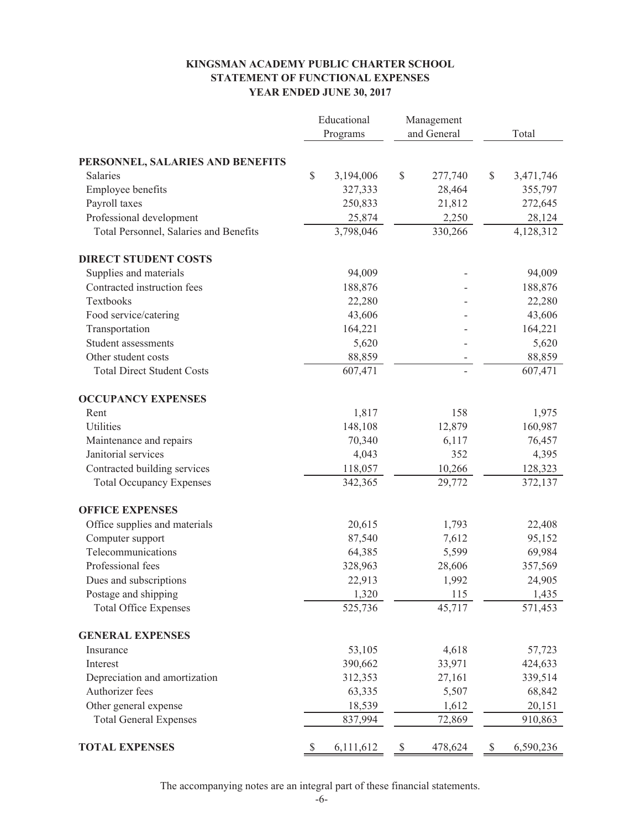## **KINGSMAN ACADEMY PUBLIC CHARTER SCHOOL STATEMENT OF FUNCTIONAL EXPENSES YEAR ENDED JUNE 30, 2017**

|                                        | Educational |                   | Management |                 |              |           |  |
|----------------------------------------|-------------|-------------------|------------|-----------------|--------------|-----------|--|
|                                        | Programs    |                   |            | and General     |              | Total     |  |
|                                        |             |                   |            |                 |              |           |  |
| PERSONNEL, SALARIES AND BENEFITS       |             |                   |            |                 |              |           |  |
| Salaries                               | \$          | 3,194,006         | \$         | 277,740         | $\mathbb{S}$ | 3,471,746 |  |
| Employee benefits                      |             | 327,333           |            | 28,464          |              | 355,797   |  |
| Payroll taxes                          |             | 250,833           |            | 21,812          |              | 272,645   |  |
| Professional development               |             | 25,874            |            | 2,250           |              | 28,124    |  |
| Total Personnel, Salaries and Benefits |             | 3,798,046         |            | 330,266         |              | 4,128,312 |  |
| <b>DIRECT STUDENT COSTS</b>            |             |                   |            |                 |              |           |  |
| Supplies and materials                 |             | 94,009            |            |                 |              | 94,009    |  |
| Contracted instruction fees            |             | 188,876           |            |                 |              | 188,876   |  |
| Textbooks                              |             | 22,280            |            |                 |              | 22,280    |  |
| Food service/catering                  |             | 43,606            |            |                 |              | 43,606    |  |
| Transportation                         |             | 164,221           |            |                 |              | 164,221   |  |
| Student assessments                    |             | 5,620             |            |                 |              | 5,620     |  |
| Other student costs                    |             | 88,859            |            |                 |              | 88,859    |  |
| <b>Total Direct Student Costs</b>      |             | 607,471           |            |                 |              | 607,471   |  |
| <b>OCCUPANCY EXPENSES</b>              |             |                   |            |                 |              |           |  |
| Rent                                   |             | 1,817             |            | 158             |              | 1,975     |  |
| Utilities                              |             | 148,108           |            | 12,879          |              | 160,987   |  |
| Maintenance and repairs                |             | 70,340            |            | 6,117           |              | 76,457    |  |
| Janitorial services                    |             | 4,043             |            | 352             |              | 4,395     |  |
| Contracted building services           |             | 118,057           |            | 10,266          |              | 128,323   |  |
| <b>Total Occupancy Expenses</b>        |             | 342,365           |            | 29,772          |              | 372,137   |  |
| <b>OFFICE EXPENSES</b>                 |             |                   |            |                 |              |           |  |
| Office supplies and materials          |             | 20,615            |            | 1,793           |              | 22,408    |  |
| Computer support                       |             | 87,540            |            | 7,612           |              | 95,152    |  |
| Telecommunications                     |             | 64,385            |            | 5,599           |              | 69,984    |  |
| Professional fees                      |             | 328,963           |            | 28,606          |              | 357,569   |  |
| Dues and subscriptions                 |             | 22,913            |            | 1,992           |              | 24,905    |  |
| Postage and shipping                   |             | 1,320             |            | 115             |              | 1,435     |  |
| <b>Total Office Expenses</b>           |             | 525,736           |            | 45,717          |              | 571,453   |  |
| <b>GENERAL EXPENSES</b>                |             |                   |            |                 |              |           |  |
| Insurance                              |             | 53,105            |            | 4,618           |              | 57,723    |  |
| Interest                               |             | 390,662           |            | 33,971          |              | 424,633   |  |
| Depreciation and amortization          |             | 312,353           |            | 27,161          |              | 339,514   |  |
| Authorizer fees                        |             | 63,335            |            | 5,507           |              | 68,842    |  |
| Other general expense                  |             |                   |            |                 |              | 20,151    |  |
|                                        |             |                   |            |                 |              |           |  |
| <b>Total General Expenses</b>          |             | 18,539<br>837,994 |            | 1,612<br>72,869 |              | 910,863   |  |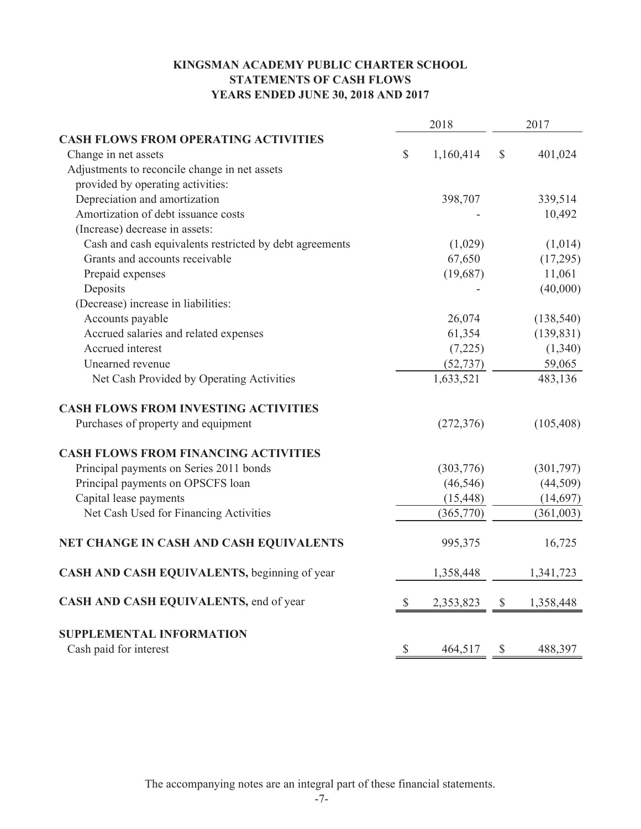# **KINGSMAN ACADEMY PUBLIC CHARTER SCHOOL STATEMENTS OF CASH FLOWS YEARS ENDED JUNE 30, 2018 AND 2017**

|                                                         |               | 2018       | 2017          |            |
|---------------------------------------------------------|---------------|------------|---------------|------------|
| <b>CASH FLOWS FROM OPERATING ACTIVITIES</b>             |               |            |               |            |
| Change in net assets                                    | $\mathcal{S}$ | 1,160,414  | $\mathcal{S}$ | 401,024    |
| Adjustments to reconcile change in net assets           |               |            |               |            |
| provided by operating activities:                       |               |            |               |            |
| Depreciation and amortization                           |               | 398,707    |               | 339,514    |
| Amortization of debt issuance costs                     |               |            |               | 10,492     |
| (Increase) decrease in assets:                          |               |            |               |            |
| Cash and cash equivalents restricted by debt agreements |               | (1,029)    |               | (1,014)    |
| Grants and accounts receivable                          |               | 67,650     |               | (17,295)   |
| Prepaid expenses                                        |               | (19,687)   |               | 11,061     |
| Deposits                                                |               |            |               | (40,000)   |
| (Decrease) increase in liabilities:                     |               |            |               |            |
| Accounts payable                                        |               | 26,074     |               | (138, 540) |
| Accrued salaries and related expenses                   |               | 61,354     |               | (139, 831) |
| Accrued interest                                        |               | (7,225)    |               | (1,340)    |
| Unearned revenue                                        |               | (52, 737)  |               | 59,065     |
| Net Cash Provided by Operating Activities               |               | 1,633,521  |               | 483,136    |
| <b>CASH FLOWS FROM INVESTING ACTIVITIES</b>             |               |            |               |            |
| Purchases of property and equipment                     |               | (272, 376) |               | (105, 408) |
| <b>CASH FLOWS FROM FINANCING ACTIVITIES</b>             |               |            |               |            |
| Principal payments on Series 2011 bonds                 |               | (303, 776) |               | (301, 797) |
| Principal payments on OPSCFS loan                       |               | (46, 546)  |               | (44, 509)  |
| Capital lease payments                                  |               | (15, 448)  |               | (14, 697)  |
| Net Cash Used for Financing Activities                  |               | (365,770)  |               | (361,003)  |
| NET CHANGE IN CASH AND CASH EQUIVALENTS                 |               | 995,375    |               | 16,725     |
| CASH AND CASH EQUIVALENTS, beginning of year            |               | 1,358,448  |               | 1,341,723  |
| CASH AND CASH EQUIVALENTS, end of year                  | $\mathbb{S}$  | 2,353,823  | $\mathbb{S}$  | 1,358,448  |
| <b>SUPPLEMENTAL INFORMATION</b>                         |               |            |               |            |
| Cash paid for interest                                  | \$            | 464,517    | $\mathcal{S}$ | 488,397    |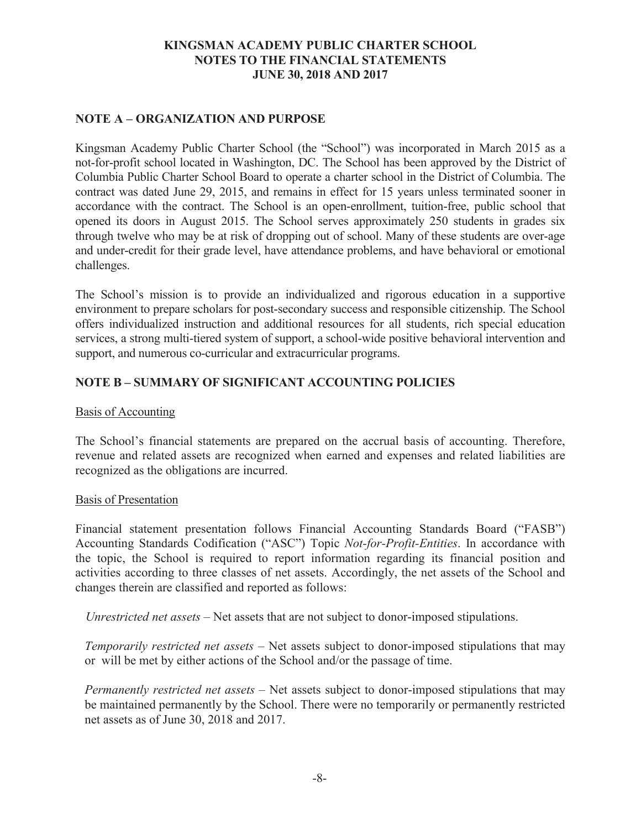# **NOTE A – ORGANIZATION AND PURPOSE**

Kingsman Academy Public Charter School (the "School") was incorporated in March 2015 as a not-for-profit school located in Washington, DC. The School has been approved by the District of Columbia Public Charter School Board to operate a charter school in the District of Columbia. The contract was dated June 29, 2015, and remains in effect for 15 years unless terminated sooner in accordance with the contract. The School is an open-enrollment, tuition-free, public school that opened its doors in August 2015. The School serves approximately 250 students in grades six through twelve who may be at risk of dropping out of school. Many of these students are over-age and under-credit for their grade level, have attendance problems, and have behavioral or emotional challenges.

The School's mission is to provide an individualized and rigorous education in a supportive environment to prepare scholars for post-secondary success and responsible citizenship. The School offers individualized instruction and additional resources for all students, rich special education services, a strong multi-tiered system of support, a school-wide positive behavioral intervention and support, and numerous co-curricular and extracurricular programs.

# **NOTE B – SUMMARY OF SIGNIFICANT ACCOUNTING POLICIES**

## Basis of Accounting

The School's financial statements are prepared on the accrual basis of accounting. Therefore, revenue and related assets are recognized when earned and expenses and related liabilities are recognized as the obligations are incurred.

# Basis of Presentation

Financial statement presentation follows Financial Accounting Standards Board ("FASB") Accounting Standards Codification ("ASC") Topic *Not-for-Profit-Entities*. In accordance with the topic, the School is required to report information regarding its financial position and activities according to three classes of net assets. Accordingly, the net assets of the School and changes therein are classified and reported as follows:

*Unrestricted net assets* – Net assets that are not subject to donor-imposed stipulations.

*Temporarily restricted net assets* – Net assets subject to donor-imposed stipulations that may or will be met by either actions of the School and/or the passage of time.

*Permanently restricted net assets –* Net assets subject to donor-imposed stipulations that may be maintained permanently by the School. There were no temporarily or permanently restricted net assets as of June 30, 2018 and 2017.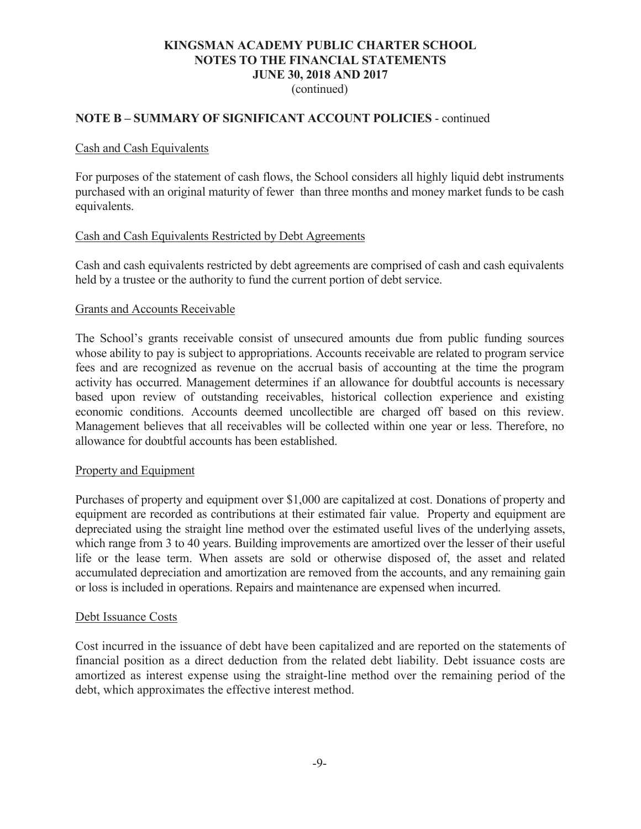(continued)

# **NOTE B – SUMMARY OF SIGNIFICANT ACCOUNT POLICIES** - continued

### Cash and Cash Equivalents

For purposes of the statement of cash flows, the School considers all highly liquid debt instruments purchased with an original maturity of fewer than three months and money market funds to be cash equivalents.

### Cash and Cash Equivalents Restricted by Debt Agreements

Cash and cash equivalents restricted by debt agreements are comprised of cash and cash equivalents held by a trustee or the authority to fund the current portion of debt service.

### Grants and Accounts Receivable

The School's grants receivable consist of unsecured amounts due from public funding sources whose ability to pay is subject to appropriations. Accounts receivable are related to program service fees and are recognized as revenue on the accrual basis of accounting at the time the program activity has occurred. Management determines if an allowance for doubtful accounts is necessary based upon review of outstanding receivables, historical collection experience and existing economic conditions. Accounts deemed uncollectible are charged off based on this review. Management believes that all receivables will be collected within one year or less. Therefore, no allowance for doubtful accounts has been established.

#### Property and Equipment

Purchases of property and equipment over \$1,000 are capitalized at cost. Donations of property and equipment are recorded as contributions at their estimated fair value. Property and equipment are depreciated using the straight line method over the estimated useful lives of the underlying assets, which range from 3 to 40 years. Building improvements are amortized over the lesser of their useful life or the lease term. When assets are sold or otherwise disposed of, the asset and related accumulated depreciation and amortization are removed from the accounts, and any remaining gain or loss is included in operations. Repairs and maintenance are expensed when incurred.

#### Debt Issuance Costs

Cost incurred in the issuance of debt have been capitalized and are reported on the statements of financial position as a direct deduction from the related debt liability. Debt issuance costs are amortized as interest expense using the straight-line method over the remaining period of the debt, which approximates the effective interest method.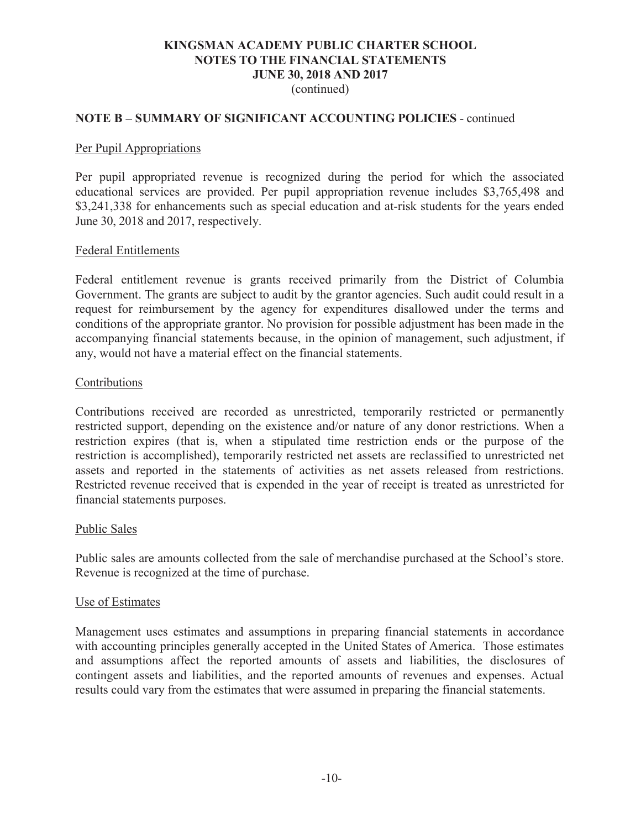(continued)

## **NOTE B – SUMMARY OF SIGNIFICANT ACCOUNTING POLICIES** - continued

#### Per Pupil Appropriations

Per pupil appropriated revenue is recognized during the period for which the associated educational services are provided. Per pupil appropriation revenue includes \$3,765,498 and \$3,241,338 for enhancements such as special education and at-risk students for the years ended June 30, 2018 and 2017, respectively.

#### Federal Entitlements

Federal entitlement revenue is grants received primarily from the District of Columbia Government. The grants are subject to audit by the grantor agencies. Such audit could result in a request for reimbursement by the agency for expenditures disallowed under the terms and conditions of the appropriate grantor. No provision for possible adjustment has been made in the accompanying financial statements because, in the opinion of management, such adjustment, if any, would not have a material effect on the financial statements.

#### Contributions

Contributions received are recorded as unrestricted, temporarily restricted or permanently restricted support, depending on the existence and/or nature of any donor restrictions. When a restriction expires (that is, when a stipulated time restriction ends or the purpose of the restriction is accomplished), temporarily restricted net assets are reclassified to unrestricted net assets and reported in the statements of activities as net assets released from restrictions. Restricted revenue received that is expended in the year of receipt is treated as unrestricted for financial statements purposes.

#### Public Sales

Public sales are amounts collected from the sale of merchandise purchased at the School's store. Revenue is recognized at the time of purchase.

#### Use of Estimates

Management uses estimates and assumptions in preparing financial statements in accordance with accounting principles generally accepted in the United States of America. Those estimates and assumptions affect the reported amounts of assets and liabilities, the disclosures of contingent assets and liabilities, and the reported amounts of revenues and expenses. Actual results could vary from the estimates that were assumed in preparing the financial statements.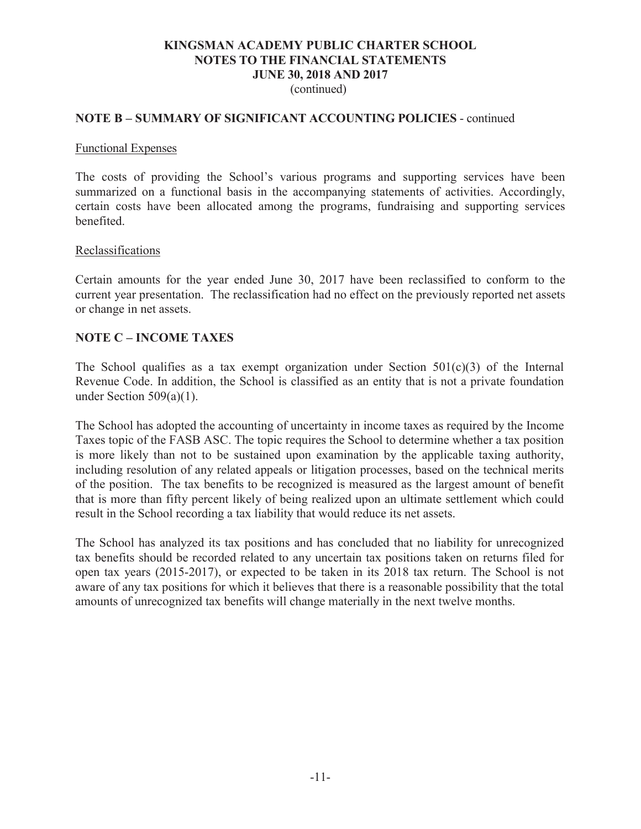(continued)

## **NOTE B – SUMMARY OF SIGNIFICANT ACCOUNTING POLICIES** - continued

#### Functional Expenses

The costs of providing the School's various programs and supporting services have been summarized on a functional basis in the accompanying statements of activities. Accordingly, certain costs have been allocated among the programs, fundraising and supporting services benefited.

#### Reclassifications

Certain amounts for the year ended June 30, 2017 have been reclassified to conform to the current year presentation. The reclassification had no effect on the previously reported net assets or change in net assets.

# **NOTE C – INCOME TAXES**

The School qualifies as a tax exempt organization under Section  $501(c)(3)$  of the Internal Revenue Code. In addition, the School is classified as an entity that is not a private foundation under Section  $509(a)(1)$ .

The School has adopted the accounting of uncertainty in income taxes as required by the Income Taxes topic of the FASB ASC. The topic requires the School to determine whether a tax position is more likely than not to be sustained upon examination by the applicable taxing authority, including resolution of any related appeals or litigation processes, based on the technical merits of the position. The tax benefits to be recognized is measured as the largest amount of benefit that is more than fifty percent likely of being realized upon an ultimate settlement which could result in the School recording a tax liability that would reduce its net assets.

The School has analyzed its tax positions and has concluded that no liability for unrecognized tax benefits should be recorded related to any uncertain tax positions taken on returns filed for open tax years (2015-2017), or expected to be taken in its 2018 tax return. The School is not aware of any tax positions for which it believes that there is a reasonable possibility that the total amounts of unrecognized tax benefits will change materially in the next twelve months.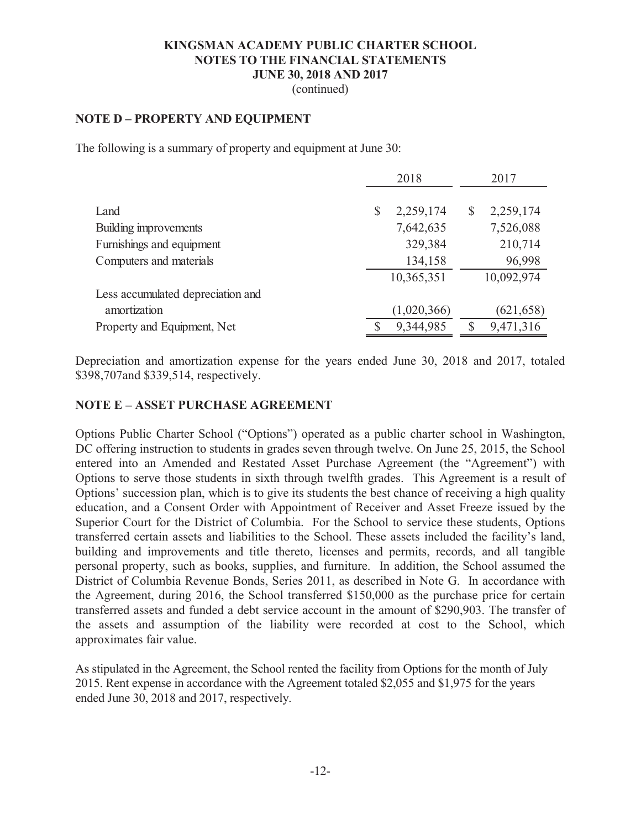(continued)

# **NOTE D – PROPERTY AND EQUIPMENT**

The following is a summary of property and equipment at June 30:

|                                   | 2018            | 2017                  |
|-----------------------------------|-----------------|-----------------------|
| Land                              | 2,259,174<br>\$ | 2,259,174<br>S        |
| Building improvements             | 7,642,635       | 7,526,088             |
| Furnishings and equipment         | 329,384         | 210,714               |
| Computers and materials           | 134,158         | 96,998                |
|                                   | 10,365,351      | 10,092,974            |
| Less accumulated depreciation and |                 |                       |
| amortization                      | (1,020,366)     | (621, 658)            |
| Property and Equipment, Net       | 9,344,985       | 9,471,316<br><b>S</b> |

Depreciation and amortization expense for the years ended June 30, 2018 and 2017, totaled \$398,707and \$339,514, respectively.

# **NOTE E – ASSET PURCHASE AGREEMENT**

Options Public Charter School ("Options") operated as a public charter school in Washington, DC offering instruction to students in grades seven through twelve. On June 25, 2015, the School entered into an Amended and Restated Asset Purchase Agreement (the "Agreement") with Options to serve those students in sixth through twelfth grades. This Agreement is a result of Options' succession plan, which is to give its students the best chance of receiving a high quality education, and a Consent Order with Appointment of Receiver and Asset Freeze issued by the Superior Court for the District of Columbia. For the School to service these students, Options transferred certain assets and liabilities to the School. These assets included the facility's land, building and improvements and title thereto, licenses and permits, records, and all tangible personal property, such as books, supplies, and furniture. In addition, the School assumed the District of Columbia Revenue Bonds, Series 2011, as described in Note G. In accordance with the Agreement, during 2016, the School transferred \$150,000 as the purchase price for certain transferred assets and funded a debt service account in the amount of \$290,903. The transfer of the assets and assumption of the liability were recorded at cost to the School, which approximates fair value.

As stipulated in the Agreement, the School rented the facility from Options for the month of July 2015. Rent expense in accordance with the Agreement totaled \$2,055 and \$1,975 for the years ended June 30, 2018 and 2017, respectively.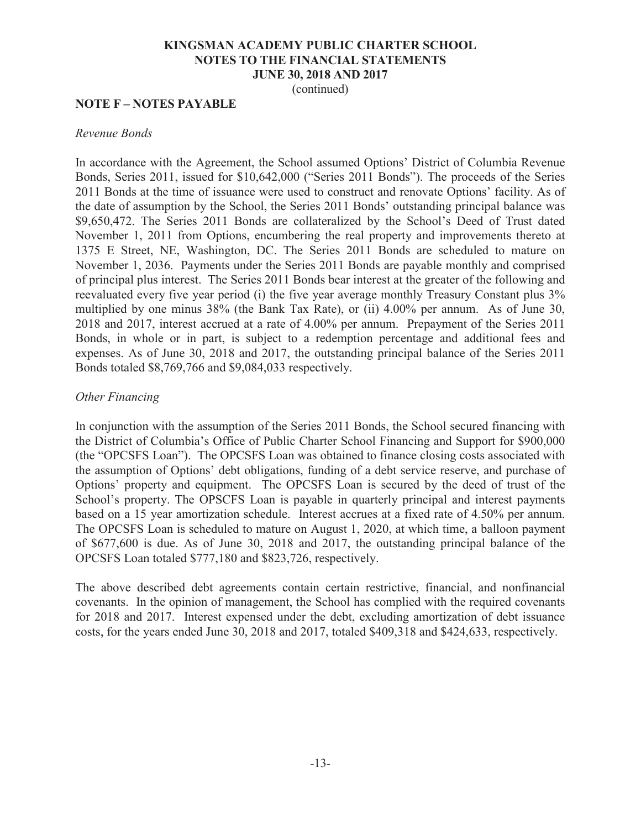(continued)

# **NOTE F – NOTES PAYABLE**

#### *Revenue Bonds*

In accordance with the Agreement, the School assumed Options' District of Columbia Revenue Bonds, Series 2011, issued for \$10,642,000 ("Series 2011 Bonds"). The proceeds of the Series 2011 Bonds at the time of issuance were used to construct and renovate Options' facility. As of the date of assumption by the School, the Series 2011 Bonds' outstanding principal balance was \$9,650,472. The Series 2011 Bonds are collateralized by the School's Deed of Trust dated November 1, 2011 from Options, encumbering the real property and improvements thereto at 1375 E Street, NE, Washington, DC. The Series 2011 Bonds are scheduled to mature on November 1, 2036. Payments under the Series 2011 Bonds are payable monthly and comprised of principal plus interest. The Series 2011 Bonds bear interest at the greater of the following and reevaluated every five year period (i) the five year average monthly Treasury Constant plus 3% multiplied by one minus 38% (the Bank Tax Rate), or (ii) 4.00% per annum. As of June 30, 2018 and 2017, interest accrued at a rate of 4.00% per annum. Prepayment of the Series 2011 Bonds, in whole or in part, is subject to a redemption percentage and additional fees and expenses. As of June 30, 2018 and 2017, the outstanding principal balance of the Series 2011 Bonds totaled \$8,769,766 and \$9,084,033 respectively.

## *Other Financing*

In conjunction with the assumption of the Series 2011 Bonds, the School secured financing with the District of Columbia's Office of Public Charter School Financing and Support for \$900,000 (the "OPCSFS Loan"). The OPCSFS Loan was obtained to finance closing costs associated with the assumption of Options' debt obligations, funding of a debt service reserve, and purchase of Options' property and equipment. The OPCSFS Loan is secured by the deed of trust of the School's property. The OPSCFS Loan is payable in quarterly principal and interest payments based on a 15 year amortization schedule. Interest accrues at a fixed rate of 4.50% per annum. The OPCSFS Loan is scheduled to mature on August 1, 2020, at which time, a balloon payment of \$677,600 is due. As of June 30, 2018 and 2017, the outstanding principal balance of the OPCSFS Loan totaled \$777,180 and \$823,726, respectively.

The above described debt agreements contain certain restrictive, financial, and nonfinancial covenants. In the opinion of management, the School has complied with the required covenants for 2018 and 2017. Interest expensed under the debt, excluding amortization of debt issuance costs, for the years ended June 30, 2018 and 2017, totaled \$409,318 and \$424,633, respectively.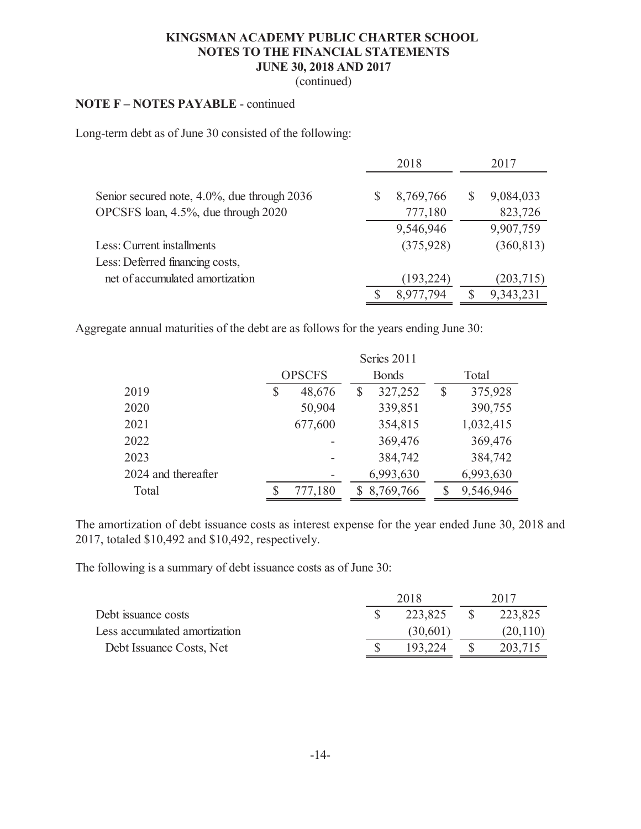(continued)

# **NOTE F – NOTES PAYABLE** - continued

Long-term debt as of June 30 consisted of the following:

|                                             |   | 2018       |    | 2017       |
|---------------------------------------------|---|------------|----|------------|
| Senior secured note, 4.0%, due through 2036 | S | 8,769,766  | \$ | 9,084,033  |
| OPCSFS loan, 4.5%, due through 2020         |   | 777,180    |    | 823,726    |
|                                             |   | 9,546,946  |    | 9,907,759  |
| Less: Current installments                  |   | (375, 928) |    | (360, 813) |
| Less: Deferred financing costs,             |   |            |    |            |
| net of accumulated amortization             |   | (193, 224) |    | (203, 715) |
|                                             |   | 8,977,794  | S  | 9,343,231  |

Aggregate annual maturities of the debt are as follows for the years ending June 30:

|                     | Series 2011   |   |              |   |           |
|---------------------|---------------|---|--------------|---|-----------|
|                     | <b>OPSCFS</b> |   | <b>Bonds</b> |   | Total     |
| 2019                | 48,676        | S | 327,252      | S | 375,928   |
| 2020                | 50,904        |   | 339,851      |   | 390,755   |
| 2021                | 677,600       |   | 354,815      |   | 1,032,415 |
| 2022                |               |   | 369,476      |   | 369,476   |
| 2023                |               |   | 384,742      |   | 384,742   |
| 2024 and thereafter |               |   | 6,993,630    |   | 6,993,630 |
| Total               | 777,180       |   | \$8,769,766  |   | 9,546,946 |

The amortization of debt issuance costs as interest expense for the year ended June 30, 2018 and 2017, totaled \$10,492 and \$10,492, respectively.

The following is a summary of debt issuance costs as of June 30:

|                               | 2018     | 2017      |
|-------------------------------|----------|-----------|
| Debt issuance costs           | 223,825  | 223,825   |
| Less accumulated amortization | (30,601) | (20, 110) |
| Debt Issuance Costs, Net      | 193.224  | 203,715   |
|                               |          |           |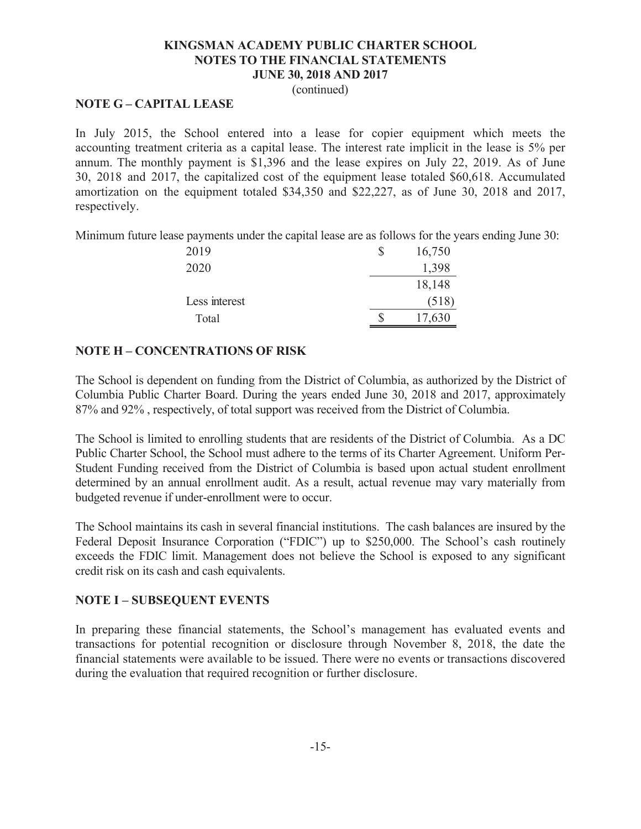(continued)

# **NOTE G – CAPITAL LEASE**

In July 2015, the School entered into a lease for copier equipment which meets the accounting treatment criteria as a capital lease. The interest rate implicit in the lease is 5% per annum. The monthly payment is \$1,396 and the lease expires on July 22, 2019. As of June 30, 2018 and 2017, the capitalized cost of the equipment lease totaled \$60,618. Accumulated amortization on the equipment totaled \$34,350 and \$22,227, as of June 30, 2018 and 2017, respectively.

Minimum future lease payments under the capital lease are as follows for the years ending June 30:

| 2019          | \$<br>16,750 |
|---------------|--------------|
| 2020          | 1,398        |
|               | 18,148       |
| Less interest | (518)        |
| Total         | 17,630       |

# **NOTE H – CONCENTRATIONS OF RISK**

The School is dependent on funding from the District of Columbia, as authorized by the District of Columbia Public Charter Board. During the years ended June 30, 2018 and 2017, approximately 87% and 92% , respectively, of total support was received from the District of Columbia.

The School is limited to enrolling students that are residents of the District of Columbia. As a DC Public Charter School, the School must adhere to the terms of its Charter Agreement. Uniform Per-Student Funding received from the District of Columbia is based upon actual student enrollment determined by an annual enrollment audit. As a result, actual revenue may vary materially from budgeted revenue if under-enrollment were to occur.

The School maintains its cash in several financial institutions. The cash balances are insured by the Federal Deposit Insurance Corporation ("FDIC") up to \$250,000. The School's cash routinely exceeds the FDIC limit. Management does not believe the School is exposed to any significant credit risk on its cash and cash equivalents.

# **NOTE I – SUBSEQUENT EVENTS**

In preparing these financial statements, the School's management has evaluated events and transactions for potential recognition or disclosure through November 8, 2018, the date the financial statements were available to be issued. There were no events or transactions discovered during the evaluation that required recognition or further disclosure.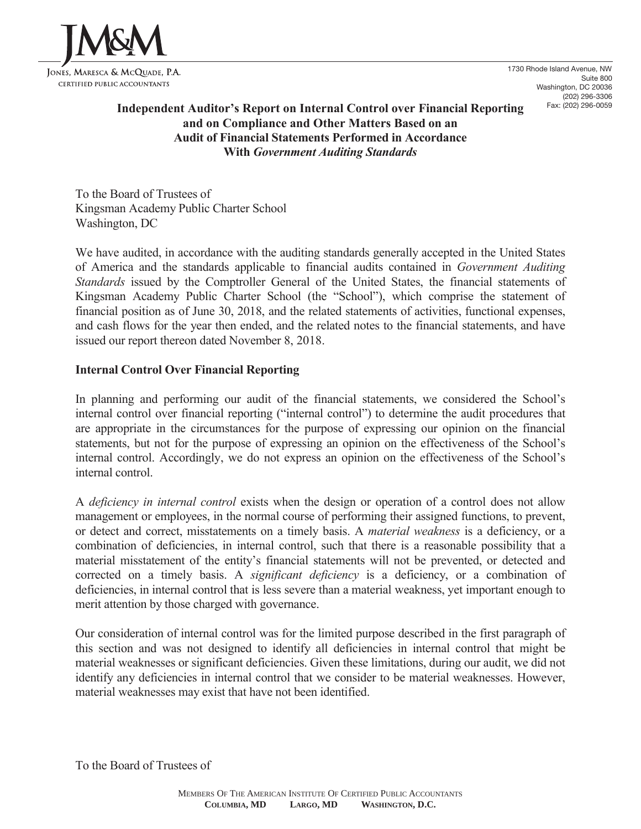

1730 Rhode Island Avenue, NW Suite 800 Washington, DC 20036 (202) 296-3306 Fax: (202) 296-0059

# **Independent Auditor's Report on Internal Control over Financial Reporting and on Compliance and Other Matters Based on an Audit of Financial Statements Performed in Accordance With** *Government Auditing Standards*

To the Board of Trustees of Kingsman Academy Public Charter School Washington, DC

We have audited, in accordance with the auditing standards generally accepted in the United States of America and the standards applicable to financial audits contained in *Government Auditing Standards* issued by the Comptroller General of the United States, the financial statements of Kingsman Academy Public Charter School (the "School"), which comprise the statement of financial position as of June 30, 2018, and the related statements of activities, functional expenses, and cash flows for the year then ended, and the related notes to the financial statements, and have issued our report thereon dated November 8, 2018.

# **Internal Control Over Financial Reporting**

In planning and performing our audit of the financial statements, we considered the School's internal control over financial reporting ("internal control") to determine the audit procedures that are appropriate in the circumstances for the purpose of expressing our opinion on the financial statements, but not for the purpose of expressing an opinion on the effectiveness of the School's internal control. Accordingly, we do not express an opinion on the effectiveness of the School's internal control.

A *deficiency in internal control* exists when the design or operation of a control does not allow management or employees, in the normal course of performing their assigned functions, to prevent, or detect and correct, misstatements on a timely basis. A *material weakness* is a deficiency, or a combination of deficiencies, in internal control, such that there is a reasonable possibility that a material misstatement of the entity's financial statements will not be prevented, or detected and corrected on a timely basis. A *significant deficiency* is a deficiency, or a combination of deficiencies, in internal control that is less severe than a material weakness, yet important enough to merit attention by those charged with governance.

Our consideration of internal control was for the limited purpose described in the first paragraph of this section and was not designed to identify all deficiencies in internal control that might be material weaknesses or significant deficiencies. Given these limitations, during our audit, we did not identify any deficiencies in internal control that we consider to be material weaknesses. However, material weaknesses may exist that have not been identified.

To the Board of Trustees of